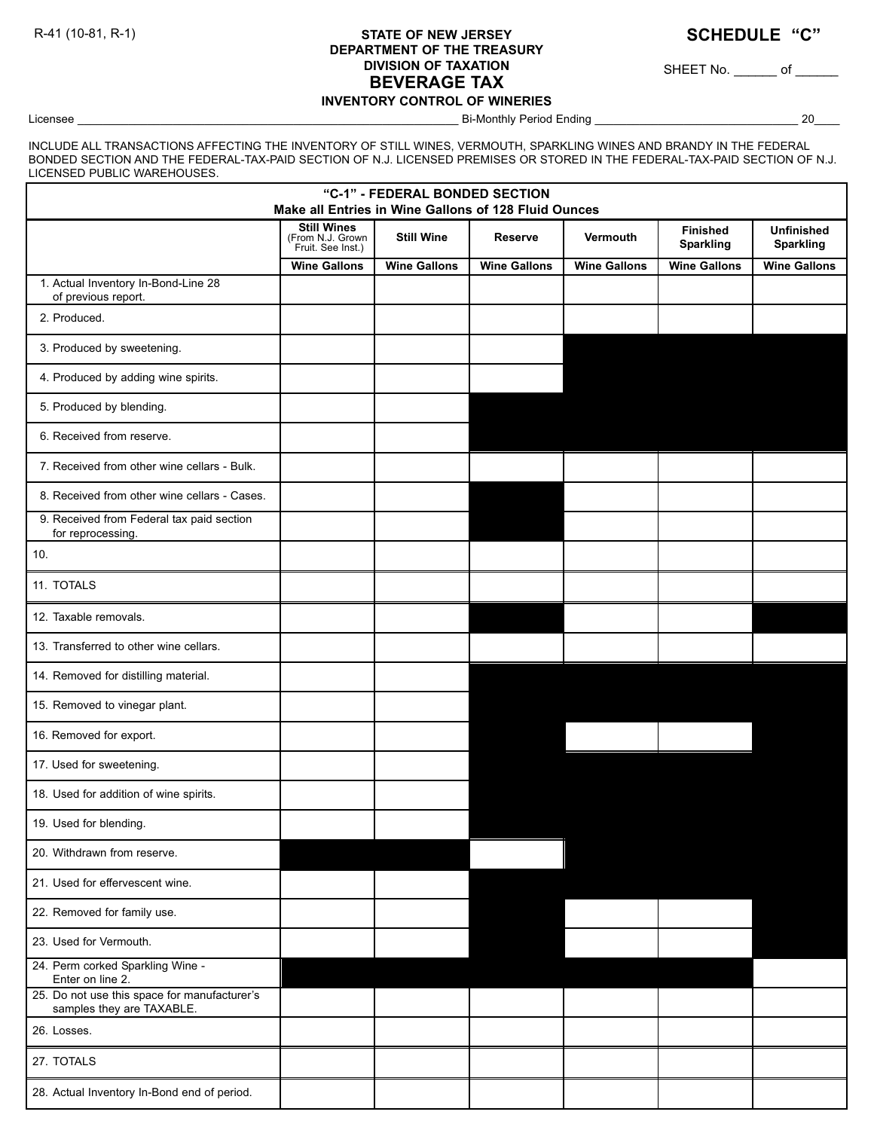## **STATE OF NEW JERSEY DEPARTMENT OF THE TREASURY DIVISION OF TAXATION BEVERAGE TAX INVENTORY CONTROL OF WINERIES** R-41 (10-81, R-1) **STATE OF NEW JERSEY SCHEDULE** "C"

SHEET No. \_\_\_\_\_\_\_ of \_\_\_\_\_\_\_

Licensee \_\_\_\_\_\_\_\_\_\_\_\_\_\_\_\_\_\_\_\_\_\_\_\_\_\_\_\_\_\_\_\_\_\_\_\_\_\_\_\_\_\_\_\_\_\_\_\_\_\_\_\_\_\_\_\_\_\_\_\_ Bi-Monthly Period Ending \_\_\_\_\_\_\_\_\_\_\_\_\_\_\_\_\_\_\_\_\_\_\_\_\_\_\_\_\_\_\_\_ 20\_\_\_\_

INCLUDE ALL TRANSACTIONS AFFECTING THE INVENTORY OF STILL WINES, VERMOUTH, SPARKLING WINES AND BRANDY IN THE FEDERAL BONDED SECTION AND THE FEDERAL-TAX-PAID SECTION OF N.J. LICENSED PREMISES OR STORED IN THE FEDERAL-TAX-PAID SECTION OF N.J. LICENSED PUBLIC WAREHOUSES.

| "C-1" - FEDERAL BONDED SECTION<br>Make all Entries in Wine Gallons of 128 Fluid Ounces |                                                             |                     |                     |                     |                                     |                                       |  |  |  |
|----------------------------------------------------------------------------------------|-------------------------------------------------------------|---------------------|---------------------|---------------------|-------------------------------------|---------------------------------------|--|--|--|
|                                                                                        | <b>Still Wines</b><br>(From N.J. Grown<br>Fruit. See Inst.) | <b>Still Wine</b>   | Reserve             | Vermouth            | <b>Finished</b><br><b>Sparkling</b> | <b>Unfinished</b><br><b>Sparkling</b> |  |  |  |
|                                                                                        | <b>Wine Gallons</b>                                         | <b>Wine Gallons</b> | <b>Wine Gallons</b> | <b>Wine Gallons</b> | <b>Wine Gallons</b>                 | <b>Wine Gallons</b>                   |  |  |  |
| 1. Actual Inventory In-Bond-Line 28<br>of previous report.                             |                                                             |                     |                     |                     |                                     |                                       |  |  |  |
| 2. Produced.                                                                           |                                                             |                     |                     |                     |                                     |                                       |  |  |  |
| 3. Produced by sweetening.                                                             |                                                             |                     |                     |                     |                                     |                                       |  |  |  |
| 4. Produced by adding wine spirits.                                                    |                                                             |                     |                     |                     |                                     |                                       |  |  |  |
| 5. Produced by blending.                                                               |                                                             |                     |                     |                     |                                     |                                       |  |  |  |
| 6. Received from reserve.                                                              |                                                             |                     |                     |                     |                                     |                                       |  |  |  |
| 7. Received from other wine cellars - Bulk.                                            |                                                             |                     |                     |                     |                                     |                                       |  |  |  |
| 8. Received from other wine cellars - Cases.                                           |                                                             |                     |                     |                     |                                     |                                       |  |  |  |
| 9. Received from Federal tax paid section<br>for reprocessing.                         |                                                             |                     |                     |                     |                                     |                                       |  |  |  |
| 10.                                                                                    |                                                             |                     |                     |                     |                                     |                                       |  |  |  |
| 11. TOTALS                                                                             |                                                             |                     |                     |                     |                                     |                                       |  |  |  |
| 12. Taxable removals.                                                                  |                                                             |                     |                     |                     |                                     |                                       |  |  |  |
| 13. Transferred to other wine cellars.                                                 |                                                             |                     |                     |                     |                                     |                                       |  |  |  |
| 14. Removed for distilling material.                                                   |                                                             |                     |                     |                     |                                     |                                       |  |  |  |
| 15. Removed to vinegar plant.                                                          |                                                             |                     |                     |                     |                                     |                                       |  |  |  |
| 16. Removed for export.                                                                |                                                             |                     |                     |                     |                                     |                                       |  |  |  |
| 17. Used for sweetening.                                                               |                                                             |                     |                     |                     |                                     |                                       |  |  |  |
| 18. Used for addition of wine spirits.                                                 |                                                             |                     |                     |                     |                                     |                                       |  |  |  |
| 19. Used for blending.                                                                 |                                                             |                     |                     |                     |                                     |                                       |  |  |  |
| 20. Withdrawn from reserve.                                                            |                                                             |                     |                     |                     |                                     |                                       |  |  |  |
| 21. Used for effervescent wine.                                                        |                                                             |                     |                     |                     |                                     |                                       |  |  |  |
| 22. Removed for family use.                                                            |                                                             |                     |                     |                     |                                     |                                       |  |  |  |
| 23. Used for Vermouth.                                                                 |                                                             |                     |                     |                     |                                     |                                       |  |  |  |
| 24. Perm corked Sparkling Wine -<br>Enter on line 2.                                   |                                                             |                     |                     |                     |                                     |                                       |  |  |  |
| 25. Do not use this space for manufacturer's<br>samples they are TAXABLE.              |                                                             |                     |                     |                     |                                     |                                       |  |  |  |
| 26. Losses.                                                                            |                                                             |                     |                     |                     |                                     |                                       |  |  |  |
| 27. TOTALS                                                                             |                                                             |                     |                     |                     |                                     |                                       |  |  |  |
| 28. Actual Inventory In-Bond end of period.                                            |                                                             |                     |                     |                     |                                     |                                       |  |  |  |